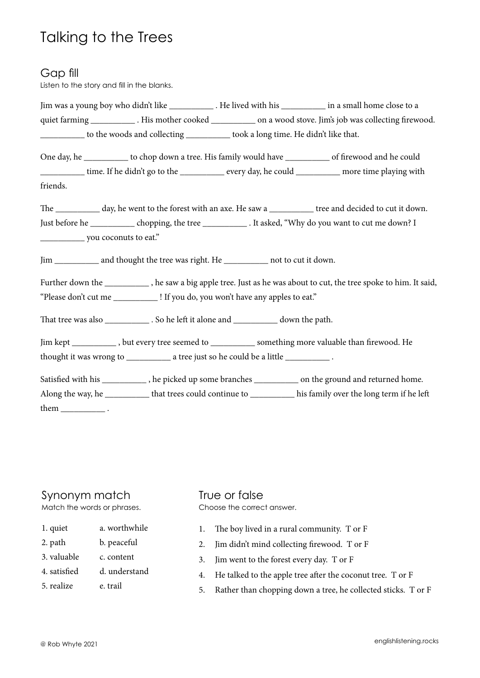# Talking to the Trees

#### Gap fill

Listen to the story and fill in the blanks.

|                                                                                   |                                                                                         |  | Jim was a young boy who didn't like _____________. He lived with his ___________ in a small home close to a         |  |  |
|-----------------------------------------------------------------------------------|-----------------------------------------------------------------------------------------|--|---------------------------------------------------------------------------------------------------------------------|--|--|
|                                                                                   |                                                                                         |  | quiet farming _______________. His mother cooked _____________ on a wood stove. Jim's job was collecting firewood.  |  |  |
|                                                                                   | to the woods and collecting ___________ took a long time. He didn't like that.          |  |                                                                                                                     |  |  |
|                                                                                   |                                                                                         |  | One day, he ____________ to chop down a tree. His family would have ___________ of firewood and he could            |  |  |
|                                                                                   |                                                                                         |  | time. If he didn't go to the ____________ every day, he could __________ more time playing with                     |  |  |
| friends.                                                                          |                                                                                         |  |                                                                                                                     |  |  |
|                                                                                   |                                                                                         |  | The ____________ day, he went to the forest with an axe. He saw a ____________ tree and decided to cut it down.     |  |  |
|                                                                                   |                                                                                         |  | Just before he ______________ chopping, the tree _________________. It asked, "Why do you want to cut me down? I    |  |  |
|                                                                                   |                                                                                         |  |                                                                                                                     |  |  |
|                                                                                   | Jim ____________ and thought the tree was right. He ____________ not to cut it down.    |  |                                                                                                                     |  |  |
|                                                                                   |                                                                                         |  | Further down the ___________, he saw a big apple tree. Just as he was about to cut, the tree spoke to him. It said, |  |  |
| "Please don't cut me _____________! If you do, you won't have any apples to eat." |                                                                                         |  |                                                                                                                     |  |  |
|                                                                                   | That tree was also ______________. So he left it alone and _____________ down the path. |  |                                                                                                                     |  |  |
|                                                                                   |                                                                                         |  | Jim kept ____________, but every tree seemed to _____________ something more valuable than firewood. He             |  |  |
|                                                                                   |                                                                                         |  |                                                                                                                     |  |  |
|                                                                                   |                                                                                         |  | Satisfied with his ____________, he picked up some branches _____________ on the ground and returned home.          |  |  |
|                                                                                   |                                                                                         |  | Along the way, he ____________ that trees could continue to ____________ his family over the long term if he left   |  |  |
| them $\frac{1}{\sqrt{1-\frac{1}{2}}$ .                                            |                                                                                         |  |                                                                                                                     |  |  |

### Synonym match

Match the words or phrases.

- 1. quiet a. worthwhile
- 2. path b. peaceful
- 3. valuable c. content
- 4. satisfied d. understand
- 5. realize e. trail

#### True or false Choose the correct answer.

- 1. The boy lived in a rural community. T or F
- 2. Jim didn't mind collecting firewood. T or F
- 3. Jim went to the forest every day. T or F
- 4. He talked to the apple tree after the coconut tree. T or F
- 5. Rather than chopping down a tree, he collected sticks. T or F